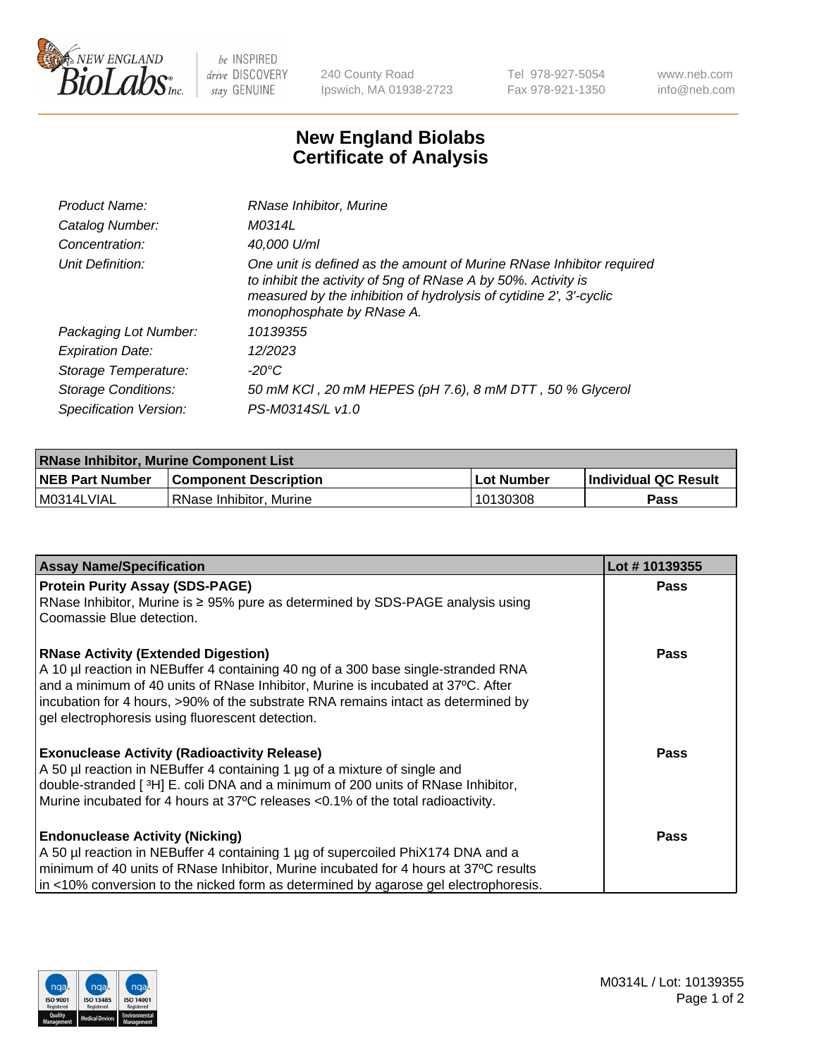

 $be$  INSPIRED drive DISCOVERY stay GENUINE

240 County Road Ipswich, MA 01938-2723 Tel 978-927-5054 Fax 978-921-1350 www.neb.com info@neb.com

## **New England Biolabs Certificate of Analysis**

| Product Name:              | RNase Inhibitor, Murine                                                                                                                                                                                                                  |
|----------------------------|------------------------------------------------------------------------------------------------------------------------------------------------------------------------------------------------------------------------------------------|
| Catalog Number:            | M0314L                                                                                                                                                                                                                                   |
| Concentration:             | 40,000 U/ml                                                                                                                                                                                                                              |
| Unit Definition:           | One unit is defined as the amount of Murine RNase Inhibitor required<br>to inhibit the activity of 5ng of RNase A by 50%. Activity is<br>measured by the inhibition of hydrolysis of cytidine 2', 3'-cyclic<br>monophosphate by RNase A. |
| Packaging Lot Number:      | 10139355                                                                                                                                                                                                                                 |
| <b>Expiration Date:</b>    | 12/2023                                                                                                                                                                                                                                  |
| Storage Temperature:       | $-20^{\circ}$ C                                                                                                                                                                                                                          |
| <b>Storage Conditions:</b> | 50 mM KCI, 20 mM HEPES (pH 7.6), 8 mM DTT, 50 % Glycerol                                                                                                                                                                                 |
| Specification Version:     | PS-M0314S/L v1.0                                                                                                                                                                                                                         |

| <b>RNase Inhibitor, Murine Component List</b> |                              |             |                             |  |  |
|-----------------------------------------------|------------------------------|-------------|-----------------------------|--|--|
| <b>NEB Part Number</b>                        | <b>Component Description</b> | ⊥Lot Number | <b>Individual QC Result</b> |  |  |
| M0314LVIAL                                    | l RNase Inhibitor. Murine    | 10130308    | Pass                        |  |  |

| <b>Assay Name/Specification</b>                                                                                                                                    | Lot #10139355 |
|--------------------------------------------------------------------------------------------------------------------------------------------------------------------|---------------|
| <b>Protein Purity Assay (SDS-PAGE)</b>                                                                                                                             | <b>Pass</b>   |
| RNase Inhibitor, Murine is ≥ 95% pure as determined by SDS-PAGE analysis using                                                                                     |               |
| Coomassie Blue detection.                                                                                                                                          |               |
| <b>RNase Activity (Extended Digestion)</b>                                                                                                                         | <b>Pass</b>   |
| A 10 µl reaction in NEBuffer 4 containing 40 ng of a 300 base single-stranded RNA                                                                                  |               |
| and a minimum of 40 units of RNase Inhibitor, Murine is incubated at 37°C. After                                                                                   |               |
| incubation for 4 hours, >90% of the substrate RNA remains intact as determined by<br>gel electrophoresis using fluorescent detection.                              |               |
|                                                                                                                                                                    |               |
| <b>Exonuclease Activity (Radioactivity Release)</b>                                                                                                                | <b>Pass</b>   |
| A 50 µl reaction in NEBuffer 4 containing 1 µg of a mixture of single and                                                                                          |               |
| double-stranded [3H] E. coli DNA and a minimum of 200 units of RNase Inhibitor,<br>Murine incubated for 4 hours at 37°C releases <0.1% of the total radioactivity. |               |
|                                                                                                                                                                    |               |
| <b>Endonuclease Activity (Nicking)</b>                                                                                                                             | <b>Pass</b>   |
| A 50 µl reaction in NEBuffer 4 containing 1 µg of supercoiled PhiX174 DNA and a                                                                                    |               |
| minimum of 40 units of RNase Inhibitor, Murine incubated for 4 hours at 37°C results                                                                               |               |
| in <10% conversion to the nicked form as determined by agarose gel electrophoresis.                                                                                |               |